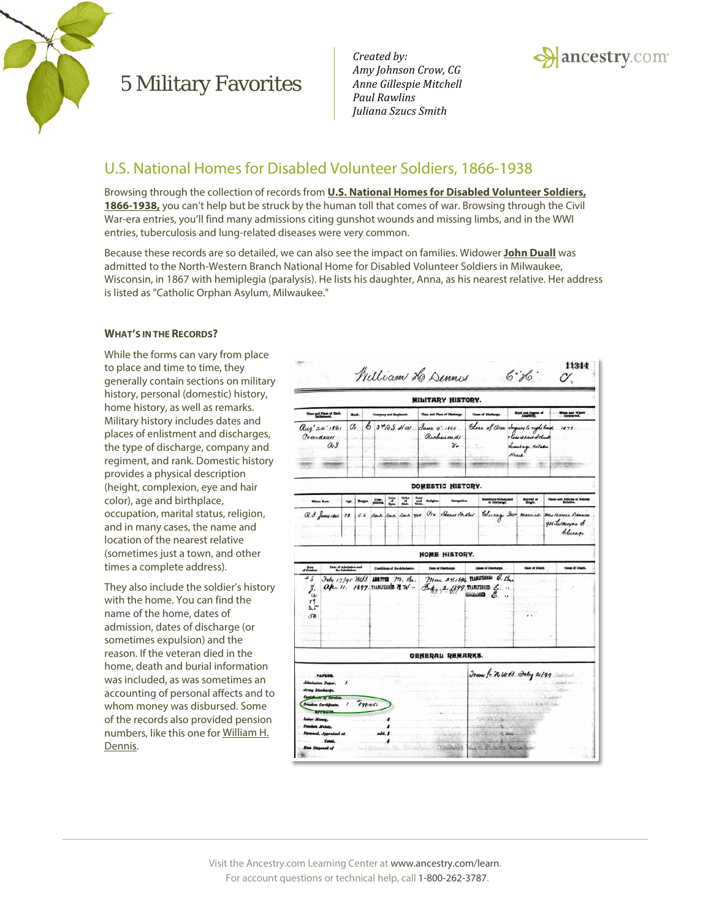

*Created by: Amy Johnson Crow, CG Anne Gillespie Mitchell Paul Rawlins Juliana Szucs Smith*



#### U.S. National Homes for Disabled Volunteer Soldiers, 1866-1938

Browsing through the collection of records from **[U.S. National Homes for Disabled Volunteer Soldiers,](http://search.ancestry.com/search/db.aspx?dbid=1200)  [1866-1938,](http://search.ancestry.com/search/db.aspx?dbid=1200)** you can't help but be struck by the human toll that comes of war. Browsing through the Civil War-era entries, you'll find many admissions citing gunshot wounds and missing limbs, and in the WWI entries, tuberculosis and lung-related diseases were very common.

Because these records are so detailed, we can also see the impact on families. Widower **[John Duall](http://www.ancestry.com/s23557/t18495/rd.ashx)** was admitted to the North-Western Branch National Home for Disabled Volunteer Soldiers in Milwaukee, Wisconsin, in 1867 with hemiplegia (paralysis). He lists his daughter, Anna, as his nearest relative. Her address is listed as "Catholic Orphan Asylum, Milwaukee."

#### **WHAT'S IN THE RECORDS?**

While the forms can vary from place to place and time to time, they generally contain sections on military history, personal (domestic) history, home history, as well as remarks. Military history includes dates and places of enlistment and discharges, the type of discharge, company and regiment, and rank. Domestic history provides a physical description (height, complexion, eye and hair color), age and birthplace, occupation, marital status, religion, and in many cases, the name and location of the nearest relative (sometimes just a town, and other times a complete address).

They also include the soldier's history with the home. You can find the name of the home, dates of admission, dates of discharge (or sometimes expulsion) and the reason. If the veteran died in the home, death and burial information was included, as was sometimes an accounting of personal affects and to whom money was disbursed. Some of the records also provided pension numbers, like this one for [William H.](http://www.ancestry.com/s23557/t18498/rd.ashx)  [Dennis.](http://www.ancestry.com/s23557/t18498/rd.ashx) 



Visit the Ancestry.com Learning Center a[t www.ancestry.com/learn.](http://www.ancestry.com/learn) For account questions or technical help, call 1-800-262-3787.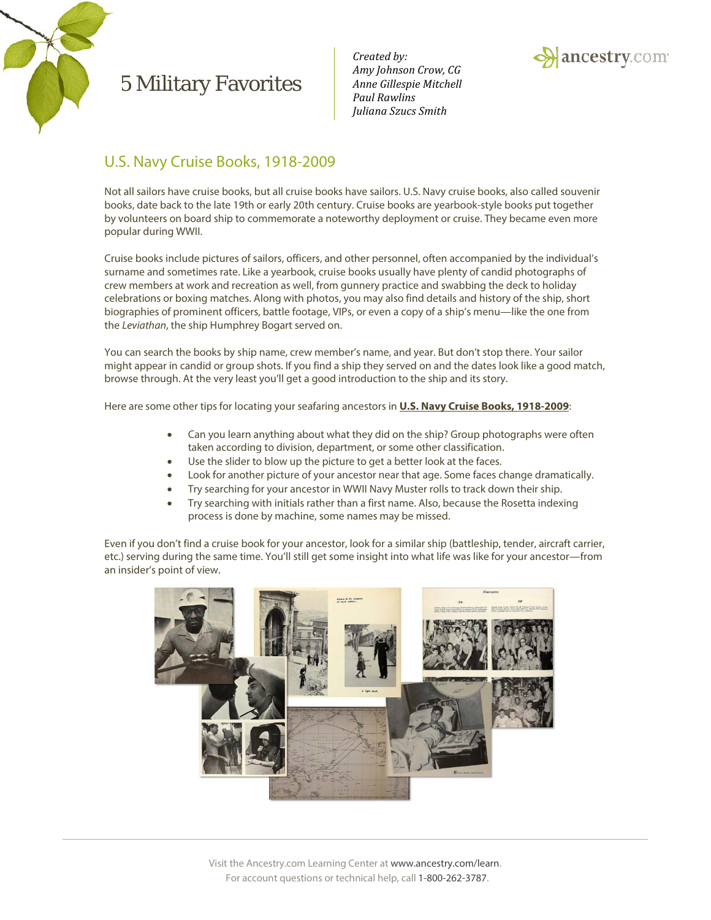

*Created by: Amy Johnson Crow, CG Anne Gillespie Mitchell Paul Rawlins Juliana Szucs Smith*



### U.S. Navy Cruise Books, 1918-2009

Not all sailors have cruise books, but all cruise books have sailors. U.S. Navy cruise books, also called souvenir books, date back to the late 19th or early 20th century. Cruise books are yearbook-style books put together by volunteers on board ship to commemorate a noteworthy deployment or cruise. They became even more popular during WWII.

Cruise books include pictures of sailors, officers, and other personnel, often accompanied by the individual's surname and sometimes rate. Like a yearbook, cruise books usually have plenty of candid photographs of crew members at work and recreation as well, from gunnery practice and swabbing the deck to holiday celebrations or boxing matches. Along with photos, you may also find details and history of the ship, short biographies of prominent officers, battle footage, VIPs, or even a copy of a ship's menu—like the one from the *Leviathan*, the ship Humphrey Bogart served on.

You can search the books by ship name, crew member's name, and year. But don't stop there. Your sailor might appear in candid or group shots. If you find a ship they served on and the dates look like a good match, browse through. At the very least you'll get a good introduction to the ship and its story.

Here are some other tips for locating your seafaring ancestors in **[U.S. Navy Cruise Books, 1918-2009](http://search.ancestry.com/search/db.aspx?dbid=2348)**:

- Can you learn anything about what they did on the ship? Group photographs were often taken according to division, department, or some other classification.
- Use the slider to blow up the picture to get a better look at the faces.
- Look for another picture of your ancestor near that age. Some faces change dramatically.
- Try searching for your ancestor in WWII Navy Muster rolls to track down their ship.
- Try searching with initials rather than a first name. Also, because the Rosetta indexing process is done by machine, some names may be missed.

Even if you don't find a cruise book for your ancestor, look for a similar ship (battleship, tender, aircraft carrier, etc.) serving during the same time. You'll still get some insight into what life was like for your ancestor—from an insider's point of view.

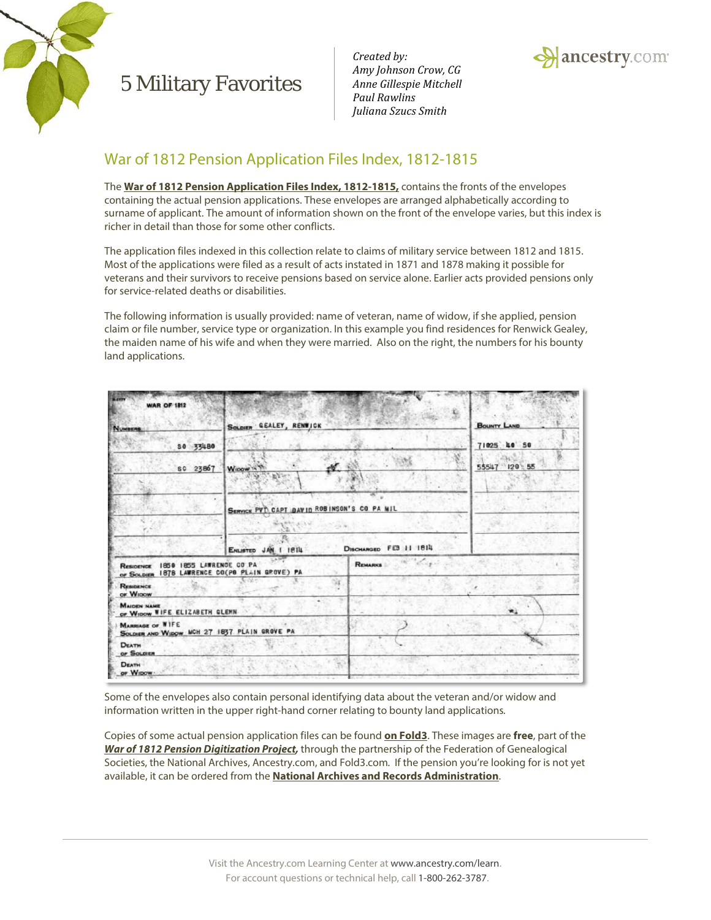

*Created by: Amy Johnson Crow, CG Anne Gillespie Mitchell Paul Rawlins Juliana Szucs Smith*



## War of 1812 Pension Application Files Index, 1812-1815

The **[War of 1812 Pension Application Files Index, 1812-1815,](http://search.ancestry.com/search/db.aspx?dbid=1133)** contains the fronts of the envelopes containing the actual pension applications. These envelopes are arranged alphabetically according to surname of applicant. The amount of information shown on the front of the envelope varies, but this index is richer in detail than those for some other conflicts.

The application files indexed in this collection relate to claims of military service between 1812 and 1815. Most of the applications were filed as a result of acts instated in 1871 and 1878 making it possible for veterans and their survivors to receive pensions based on service alone. Earlier acts provided pensions only for service-related deaths or disabilities.

The following information is usually provided: name of veteran, name of widow, if she applied, pension claim or file number, service type or organization. In this example you find residences for Renwick Gealey, the maiden name of his wife and when they were married. Also on the right, the numbers for his bounty land applications.

| <b>WAR OF 1812</b>                                                                   |                                             | <b>BOUNTY LAND</b>     |    |  |  |  |  |  |
|--------------------------------------------------------------------------------------|---------------------------------------------|------------------------|----|--|--|--|--|--|
| NUMBERS                                                                              | SOLDIER GEALEY, RENWICK                     |                        |    |  |  |  |  |  |
| 80 33480                                                                             |                                             | 71025 40 50            |    |  |  |  |  |  |
| SC 23867                                                                             | Winow -<br>Mar 1                            | 55547 120 55           |    |  |  |  |  |  |
|                                                                                      | SERVICE PVT CAPT DAVID ROBINSON'S CO PA MIL |                        |    |  |  |  |  |  |
|                                                                                      |                                             |                        |    |  |  |  |  |  |
|                                                                                      | ENLISTED JAN 1 1814                         | DISCHARGED FEB 11 1814 |    |  |  |  |  |  |
| RESIDENCE 1850 1855 LAWRENCE CO PA<br>OF SOLDIER 1878 LAWRENCE CO(PO PLAIN GROVE) PA |                                             | <b>REMARKS</b>         |    |  |  |  |  |  |
| <b>RESIDENCE</b><br>or Wipow                                                         |                                             |                        |    |  |  |  |  |  |
| <b>MAIDEN NAME</b><br>OF WIDOW WIFE ELIZABETH GLEMN                                  |                                             |                        | w. |  |  |  |  |  |
| <b>MARRIAGE OF WIFE</b><br>SOLDIER AND WIDOW MCH 27 1837. PLAIN GROVE PA             |                                             |                        |    |  |  |  |  |  |
| <b>DEATH</b><br>OF SOLDIER                                                           |                                             |                        |    |  |  |  |  |  |
| <b>DEATH</b><br>OF WIDOW                                                             |                                             |                        |    |  |  |  |  |  |

Some of the envelopes also contain personal identifying data about the veteran and/or widow and information written in the upper right-hand corner relating to bounty land applications*.*

Copies of some actual pension application files can be found **[on Fold3](http://go.fold3.com/1812pensions/)**. These images are **free**, part of the *[War of 1812 Pension Digitization Project,](http://www.preservethepensions.org/)* through the partnership of the Federation of Genealogical Societies, the National Archives, Ancestry.com, and Fold3.com*.* If the pension you're looking for is not yet available, it can be ordered from the **[National Archives and Records Administration](http://www.archives.gov/research/military/)**.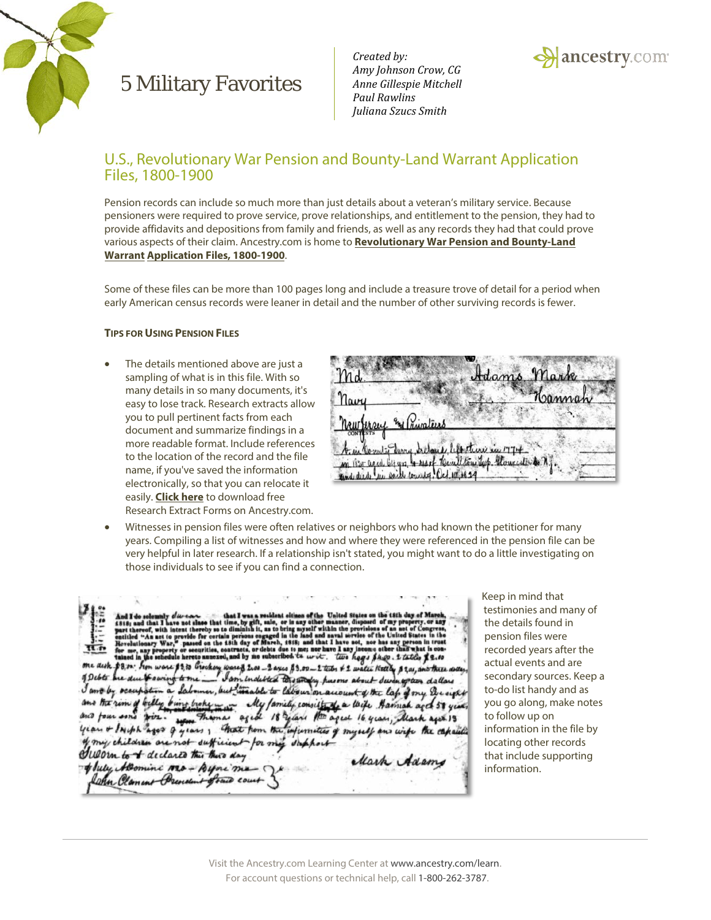

*Created by: Amy Johnson Crow, CG Anne Gillespie Mitchell Paul Rawlins Juliana Szucs Smith*



#### U.S., Revolutionary War Pension and Bounty-Land Warrant Application Files, 1800-1900

Pension records can include so much more than just details about a veteran's military service. Because pensioners were required to prove service, prove relationships, and entitlement to the pension, they had to provide affidavits and depositions from family and friends, as well as any records they had that could prove various aspects of their claim. Ancestry.com is home to **[Revolutionary War Pension and Bounty-Land](http://search.ancestry.com/search/db.aspx?dbid=1995)  Warrant [Application Files, 1](http://search.ancestry.com/search/db.aspx?dbid=1995)800-1900**.

Some of these files can be more than 100 pages long and include a treasure trove of detail for a period when early American census records were leaner in detail and the number of other surviving records is fewer.

#### **TIPS FOR USING PENSION FILES**

The details mentioned above are just a sampling of what is in this file. With so many details in so many documents, it's easy to lose track. Research extracts allow you to pull pertinent facts from each document and summarize findings in a more readable format. Include references to the location of the record and the file name, if you've saved the information electronically, so that you can relocate it easily. **[Click here](http://c.mfcreative.com/pdf/trees/charts/resext.pdf)** to download free Research Extract Forms on Ancestry.com.



• Witnesses in pension files were often relatives or neighbors who had known the petitioner for many years. Compiling a list of witnesses and how and where they were referenced in the pension file can be very helpful in later research. If a relationship isn't stated, you might want to do a little investigating on those individuals to see if you can find a connection.

he United States on the other two hogy \$400. 2 tatiles \$ 2.00 n indebted the and account of the lap of my Disight My family consistents a lack Hamah aget 51 years and four sons wir. we Themas aged 18 years the aged 16 years, Mark ages 19 my children are not sufficient for my support Juloun to of declared this there day Mark Adams of July Aleonini 1820 - Byoni me

Keep in mind that testimonies and many of the details found in pension files were recorded years after the actual events and are secondary sources. Keep a to-do list handy and as you go along, make notes to follow up on information in the file by locating other records that include supporting information.